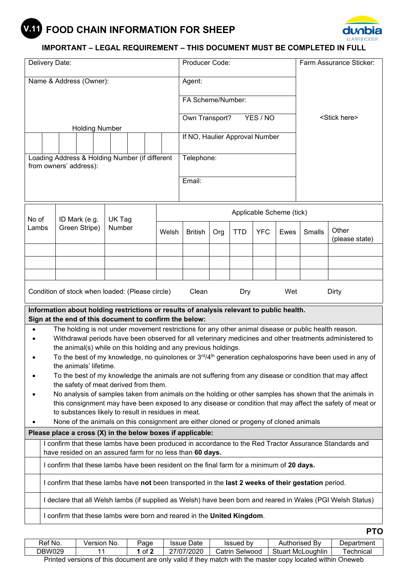# **FOOD CHAIN INFORMATION FOR SHEEP V.11**



## **IMPORTANT – LEGAL REQUIREMENT – THIS DOCUMENT MUST BE COMPLETED IN FULL**

| Delivery Date:                                                                           |                                                                                                                                                  |                                                    |                       |  | Producer Code: |                |                |                                                                                                     | Farm Assurance Sticker: |          |        |                         |  |                                                                                                                  |
|------------------------------------------------------------------------------------------|--------------------------------------------------------------------------------------------------------------------------------------------------|----------------------------------------------------|-----------------------|--|----------------|----------------|----------------|-----------------------------------------------------------------------------------------------------|-------------------------|----------|--------|-------------------------|--|------------------------------------------------------------------------------------------------------------------|
| Name & Address (Owner):                                                                  |                                                                                                                                                  |                                                    |                       |  |                |                | Agent:         |                                                                                                     |                         |          |        |                         |  |                                                                                                                  |
|                                                                                          |                                                                                                                                                  |                                                    |                       |  |                |                |                | FA Scheme/Number:                                                                                   |                         |          |        |                         |  |                                                                                                                  |
|                                                                                          |                                                                                                                                                  |                                                    |                       |  |                |                |                |                                                                                                     |                         |          |        |                         |  |                                                                                                                  |
|                                                                                          |                                                                                                                                                  |                                                    |                       |  |                |                | Own Transport? |                                                                                                     |                         | YES / NO |        | <stick here=""></stick> |  |                                                                                                                  |
|                                                                                          |                                                                                                                                                  |                                                    | <b>Holding Number</b> |  |                |                |                |                                                                                                     |                         |          |        |                         |  |                                                                                                                  |
|                                                                                          |                                                                                                                                                  |                                                    |                       |  |                |                |                | If NO, Haulier Approval Number                                                                      |                         |          |        |                         |  |                                                                                                                  |
| Loading Address & Holding Number (if different<br>from owners' address):                 |                                                                                                                                                  |                                                    |                       |  |                |                |                | Telephone:                                                                                          |                         |          |        |                         |  |                                                                                                                  |
|                                                                                          |                                                                                                                                                  |                                                    |                       |  |                |                |                |                                                                                                     |                         |          |        |                         |  |                                                                                                                  |
|                                                                                          |                                                                                                                                                  |                                                    |                       |  |                |                |                | Email:                                                                                              |                         |          |        |                         |  |                                                                                                                  |
|                                                                                          |                                                                                                                                                  |                                                    |                       |  |                |                |                |                                                                                                     |                         |          |        |                         |  |                                                                                                                  |
| No of                                                                                    |                                                                                                                                                  |                                                    |                       |  |                |                |                | Applicable Scheme (tick)                                                                            |                         |          |        |                         |  |                                                                                                                  |
| Lambs                                                                                    |                                                                                                                                                  | ID Mark (e.g.<br>UK Tag<br>Green Stripe)<br>Number |                       |  | Welsh          | <b>British</b> | Org            | <b>TTD</b>                                                                                          | <b>YFC</b>              | Ewes     | Smalls | Other                   |  |                                                                                                                  |
|                                                                                          |                                                                                                                                                  |                                                    |                       |  |                |                |                |                                                                                                     |                         |          |        |                         |  | (please state)                                                                                                   |
|                                                                                          |                                                                                                                                                  |                                                    |                       |  |                |                |                |                                                                                                     |                         |          |        |                         |  |                                                                                                                  |
|                                                                                          |                                                                                                                                                  |                                                    |                       |  |                |                |                |                                                                                                     |                         |          |        |                         |  |                                                                                                                  |
|                                                                                          |                                                                                                                                                  |                                                    |                       |  |                |                |                |                                                                                                     |                         |          |        |                         |  |                                                                                                                  |
| Condition of stock when loaded: (Please circle)                                          |                                                                                                                                                  |                                                    |                       |  |                |                |                | Clean                                                                                               |                         | Dry      |        | Wet                     |  | Dirty                                                                                                            |
| Information about holding restrictions or results of analysis relevant to public health. |                                                                                                                                                  |                                                    |                       |  |                |                |                |                                                                                                     |                         |          |        |                         |  |                                                                                                                  |
| Sign at the end of this document to confirm the below:                                   |                                                                                                                                                  |                                                    |                       |  |                |                |                |                                                                                                     |                         |          |        |                         |  | The holding is not under movement restrictions for any other animal disease or public health reason.             |
|                                                                                          |                                                                                                                                                  |                                                    |                       |  |                |                |                |                                                                                                     |                         |          |        |                         |  | Withdrawal periods have been observed for all veterinary medicines and other treatments administered to          |
|                                                                                          |                                                                                                                                                  |                                                    |                       |  |                |                |                | the animal(s) while on this holding and any previous holdings.                                      |                         |          |        |                         |  |                                                                                                                  |
|                                                                                          |                                                                                                                                                  |                                                    |                       |  |                |                |                |                                                                                                     |                         |          |        |                         |  | To the best of my knowledge, no quinolones or $3^{rd}/4^{th}$ generation cephalosporins have been used in any of |
|                                                                                          | the animals' lifetime.<br>To the best of my knowledge the animals are not suffering from any disease or condition that may affect                |                                                    |                       |  |                |                |                |                                                                                                     |                         |          |        |                         |  |                                                                                                                  |
|                                                                                          |                                                                                                                                                  |                                                    |                       |  |                |                |                |                                                                                                     |                         |          |        |                         |  |                                                                                                                  |
|                                                                                          | the safety of meat derived from them.<br>No analysis of samples taken from animals on the holding or other samples has shown that the animals in |                                                    |                       |  |                |                |                |                                                                                                     |                         |          |        |                         |  |                                                                                                                  |
|                                                                                          | this consignment may have been exposed to any disease or condition that may affect the safety of meat or                                         |                                                    |                       |  |                |                |                |                                                                                                     |                         |          |        |                         |  |                                                                                                                  |
|                                                                                          | to substances likely to result in residues in meat.                                                                                              |                                                    |                       |  |                |                |                |                                                                                                     |                         |          |        |                         |  |                                                                                                                  |
| None of the animals on this consignment are either cloned or progeny of cloned animals   |                                                                                                                                                  |                                                    |                       |  |                |                |                |                                                                                                     |                         |          |        |                         |  |                                                                                                                  |
| Please place a cross (X) in the below boxes if applicable:                               |                                                                                                                                                  |                                                    |                       |  |                |                |                |                                                                                                     |                         |          |        |                         |  |                                                                                                                  |
|                                                                                          |                                                                                                                                                  |                                                    |                       |  |                |                |                | have resided on an assured farm for no less than 60 days.                                           |                         |          |        |                         |  | I confirm that these lambs have been produced in accordance to the Red Tractor Assurance Standards and           |
|                                                                                          |                                                                                                                                                  |                                                    |                       |  |                |                |                | I confirm that these lambs have been resident on the final farm for a minimum of 20 days.           |                         |          |        |                         |  |                                                                                                                  |
|                                                                                          |                                                                                                                                                  |                                                    |                       |  |                |                |                | I confirm that these lambs have not been transported in the last 2 weeks of their gestation period. |                         |          |        |                         |  |                                                                                                                  |
|                                                                                          |                                                                                                                                                  |                                                    |                       |  |                |                |                |                                                                                                     |                         |          |        |                         |  | I declare that all Welsh lambs (if supplied as Welsh) have been born and reared in Wales (PGI Welsh Status)      |
|                                                                                          |                                                                                                                                                  |                                                    |                       |  |                |                |                |                                                                                                     |                         |          |        |                         |  |                                                                                                                  |
|                                                                                          |                                                                                                                                                  |                                                    |                       |  |                |                |                | I confirm that these lambs were born and reared in the United Kingdom.                              |                         |          |        |                         |  |                                                                                                                  |

| Ref No.                                                                                                   | Version No. | Page | <b>Issue Date</b> | <b>Issued by</b> | Authorised By            | Department |  |
|-----------------------------------------------------------------------------------------------------------|-------------|------|-------------------|------------------|--------------------------|------------|--|
| DBW029                                                                                                    |             | of 2 | 27/07/2020        | Catrin Selwood   | <b>Stuart McLoughlin</b> | ⊺echnical  |  |
| Printed versions of this document are only valid if they match with the master copy located within Oneweb |             |      |                   |                  |                          |            |  |